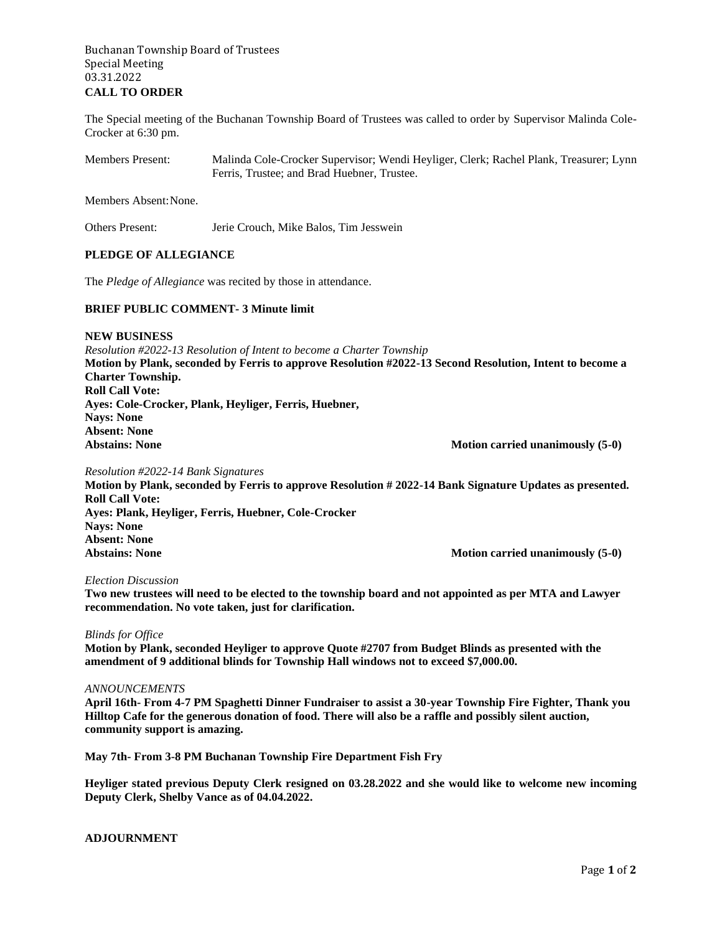# Buchanan Township Board of Trustees Special Meeting 03.31.2022 **CALL TO ORDER**

The Special meeting of the Buchanan Township Board of Trustees was called to order by Supervisor Malinda Cole-Crocker at 6:30 pm.

Members Present: Malinda Cole-Crocker Supervisor; Wendi Heyliger, Clerk; Rachel Plank, Treasurer; Lynn Ferris, Trustee; and Brad Huebner, Trustee.

Members Absent:None.

Others Present: Jerie Crouch, Mike Balos, Tim Jesswein

# **PLEDGE OF ALLEGIANCE**

The *Pledge of Allegiance* was recited by those in attendance.

### **BRIEF PUBLIC COMMENT- 3 Minute limit**

**NEW BUSINESS**

*Resolution #2022-13 Resolution of Intent to become a Charter Township* **Motion by Plank, seconded by Ferris to approve Resolution #2022-13 Second Resolution, Intent to become a Charter Township. Roll Call Vote: Ayes: Cole-Crocker, Plank, Heyliger, Ferris, Huebner, Nays: None Absent: None** Abstains: None **Motion carried unanimously (5-0)** 

*Resolution #2022-14 Bank Signatures*

**Motion by Plank, seconded by Ferris to approve Resolution # 2022-14 Bank Signature Updates as presented. Roll Call Vote: Ayes: Plank, Heyliger, Ferris, Huebner, Cole-Crocker Nays: None Absent: None Motion carried unanimously (5-0)** 

#### *Election Discussion*

**Two new trustees will need to be elected to the township board and not appointed as per MTA and Lawyer recommendation. No vote taken, just for clarification.**

#### *Blinds for Office*

**Motion by Plank, seconded Heyliger to approve Quote #2707 from Budget Blinds as presented with the amendment of 9 additional blinds for Township Hall windows not to exceed \$7,000.00.**

### *ANNOUNCEMENTS*

**April 16th- From 4-7 PM Spaghetti Dinner Fundraiser to assist a 30-year Township Fire Fighter, Thank you Hilltop Cafe for the generous donation of food. There will also be a raffle and possibly silent auction, community support is amazing.**

**May 7th- From 3-8 PM Buchanan Township Fire Department Fish Fry** 

**Heyliger stated previous Deputy Clerk resigned on 03.28.2022 and she would like to welcome new incoming Deputy Clerk, Shelby Vance as of 04.04.2022.**

# **ADJOURNMENT**